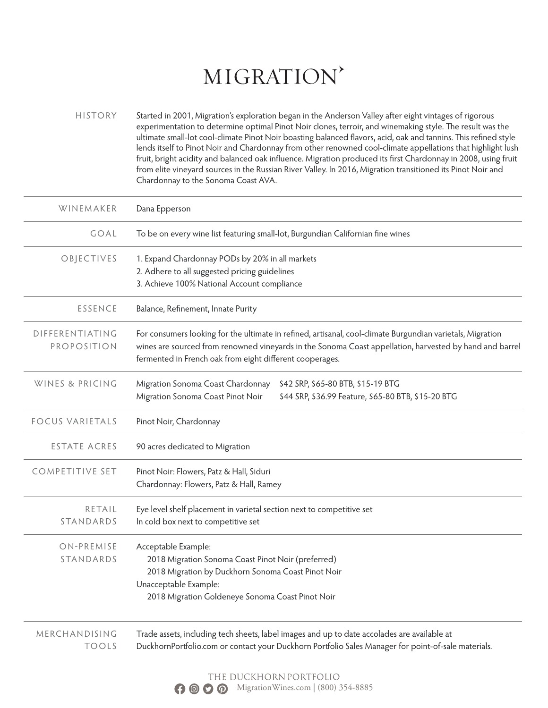# MIGRATION'

HISTORY Started in 2001, Migration's exploration began in the Anderson Valley after eight vintages of rigorous experimentation to determine optimal Pinot Noir clones, terroir, and winemaking style. The result was the ultimate small-lot cool-climate Pinot Noir boasting balanced flavors, acid, oak and tannins. This refined style lends itself to Pinot Noir and Chardonnay from other renowned cool-climate appellations that highlight lush fruit, bright acidity and balanced oak influence. Migration produced its first Chardonnay in 2008, using fruit from elite vineyard sources in the Russian River Valley. In 2016, Migration transitioned its Pinot Noir and Chardonnay to the Sonoma Coast AVA.

| WINEMAKER                      | Dana Epperson                                                                                                                                                                                                                                                                     |
|--------------------------------|-----------------------------------------------------------------------------------------------------------------------------------------------------------------------------------------------------------------------------------------------------------------------------------|
| GOAL                           | To be on every wine list featuring small-lot, Burgundian Californian fine wines                                                                                                                                                                                                   |
| OBJECTIVES                     | 1. Expand Chardonnay PODs by 20% in all markets<br>2. Adhere to all suggested pricing guidelines<br>3. Achieve 100% National Account compliance                                                                                                                                   |
| ESSENCE                        | Balance, Refinement, Innate Purity                                                                                                                                                                                                                                                |
| DIFFERENTIATING<br>PROPOSITION | For consumers looking for the ultimate in refined, artisanal, cool-climate Burgundian varietals, Migration<br>wines are sourced from renowned vineyards in the Sonoma Coast appellation, harvested by hand and barrel<br>fermented in French oak from eight different cooperages. |
| WINES & PRICING                | Migration Sonoma Coast Chardonnay<br>\$42 SRP, \$65-80 BTB, \$15-19 BTG<br>Migration Sonoma Coast Pinot Noir<br>\$44 SRP, \$36.99 Feature, \$65-80 BTB, \$15-20 BTG                                                                                                               |
| <b>FOCUS VARIETALS</b>         | Pinot Noir, Chardonnay                                                                                                                                                                                                                                                            |
| ESTATE ACRES                   | 90 acres dedicated to Migration                                                                                                                                                                                                                                                   |
| <b>COMPETITIVE SET</b>         | Pinot Noir: Flowers, Patz & Hall, Siduri<br>Chardonnay: Flowers, Patz & Hall, Ramey                                                                                                                                                                                               |
| RETAIL<br>STANDARDS            | Eye level shelf placement in varietal section next to competitive set<br>In cold box next to competitive set                                                                                                                                                                      |
| ON-PREMISE<br>STANDARDS        | Acceptable Example:<br>2018 Migration Sonoma Coast Pinot Noir (preferred)<br>2018 Migration by Duckhorn Sonoma Coast Pinot Noir<br>Unacceptable Example:<br>2018 Migration Goldeneye Sonoma Coast Pinot Noir                                                                      |
| MERCHANDISING<br><b>TOOLS</b>  | Trade assets, including tech sheets, label images and up to date accolades are available at<br>DuckhornPortfolio.com or contact your Duckhorn Portfolio Sales Manager for point-of-sale materials.                                                                                |